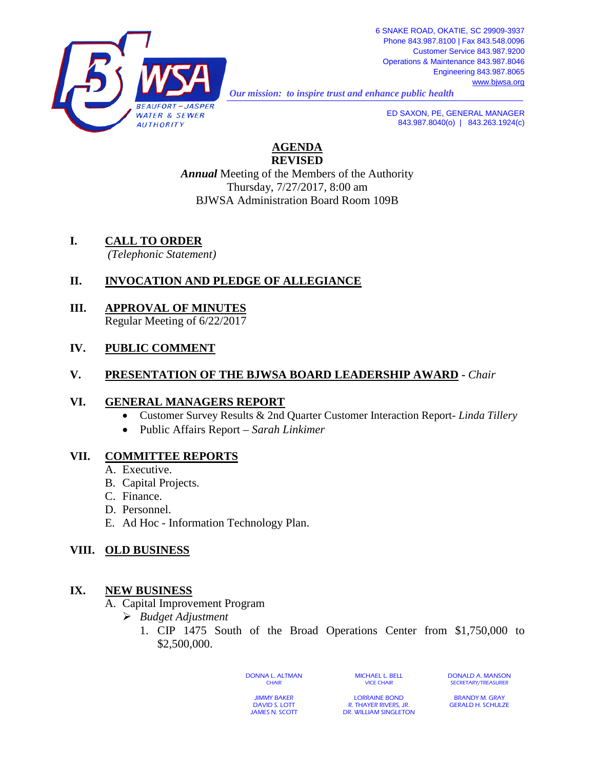

*Our mission: to inspire trust and enhance public health* 

843.987.8040(o) | 843.263.1924(c)

**AGENDA REVISED**

*Annual* Meeting of the Members of the Authority Thursday, 7/27/2017, 8:00 am BJWSA Administration Board Room 109B

- **I. CALL TO ORDER**
	- *(Telephonic Statement)*

# **II. INVOCATION AND PLEDGE OF ALLEGIANCE**

**III. APPROVAL OF MINUTES** Regular Meeting of 6/22/2017

## **IV. PUBLIC COMMENT**

#### **V. PRESENTATION OF THE BJWSA BOARD LEADERSHIP AWARD -** *Chair*

#### **VI. GENERAL MANAGERS REPORT**

- Customer Survey Results & 2nd Quarter Customer Interaction Report- *Linda Tillery*
- Public Affairs Report *Sarah Linkimer*

## **VII. COMMITTEE REPORTS**

- A. Executive.
- B. Capital Projects.
- C. Finance.
- D. Personnel.
- E. Ad Hoc Information Technology Plan.

## **VIII. OLD BUSINESS**

## **IX. NEW BUSINESS**

- A. Capital Improvement Program
	- *Budget Adjustment*
		- 1. CIP 1475 South of the Broad Operations Center from \$1,750,000 to \$2,500,000.

DONNA L. ALTMAN **CHAIR** 

MICHAEL L. BELL VICE CHAIR

DONALD A. MANSON SECRETARY/TREASURER

JIMMY BAKER DAVID S. LOTT JAMES N. SCOTT

LORRAINE BOND R. THAYER RIVERS, JR. DR. WILLIAM SINGLETON

BRANDY M. GRAY GERALD H. SCHULZE